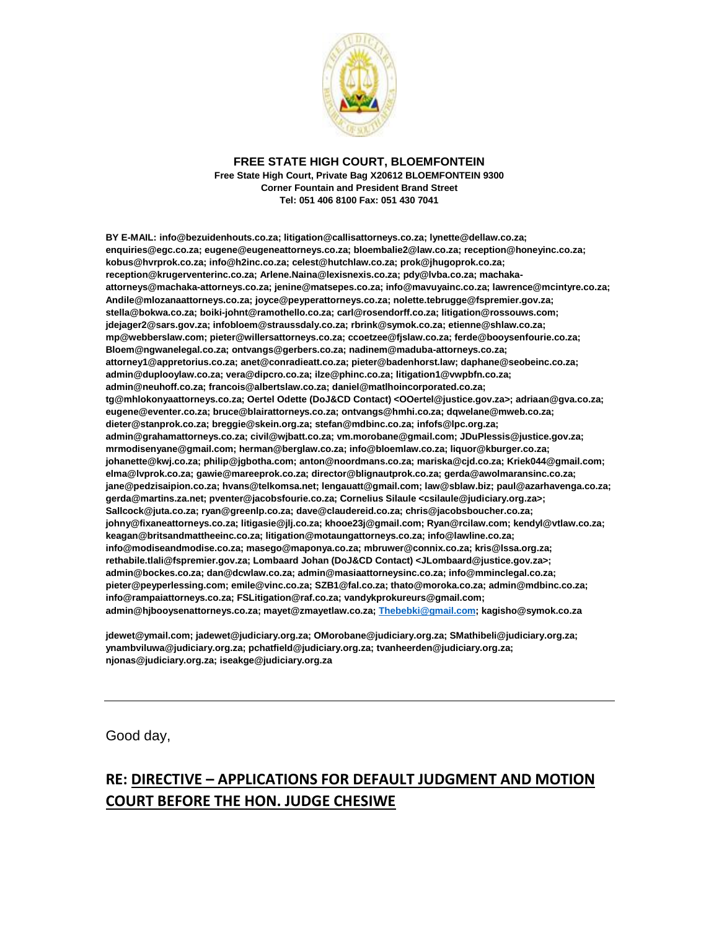

## **FREE STATE HIGH COURT, BLOEMFONTEIN Free State High Court, Private Bag X20612 BLOEMFONTEIN 9300 Corner Fountain and President Brand Street Tel: 051 406 8100 Fax: 051 430 7041**

**BY E-MAIL: info@bezuidenhouts.co.za; litigation@callisattorneys.co.za; lynette@dellaw.co.za; enquiries@egc.co.za; eugene@eugeneattorneys.co.za; bloembalie2@law.co.za; reception@honeyinc.co.za; kobus@hvrprok.co.za; info@h2inc.co.za; celest@hutchlaw.co.za; prok@jhugoprok.co.za; reception@krugerventerinc.co.za; Arlene.Naina@lexisnexis.co.za; pdy@lvba.co.za; machakaattorneys@machaka-attorneys.co.za; jenine@matsepes.co.za; info@mavuyainc.co.za; lawrence@mcintyre.co.za; Andile@mlozanaattorneys.co.za; joyce@peyperattorneys.co.za; nolette.tebrugge@fspremier.gov.za; stella@bokwa.co.za; boiki-johnt@ramothello.co.za; carl@rosendorff.co.za; litigation@rossouws.com; jdejager2@sars.gov.za; infobloem@straussdaly.co.za; rbrink@symok.co.za; etienne@shlaw.co.za; mp@webberslaw.com; pieter@willersattorneys.co.za; ccoetzee@fjslaw.co.za; ferde@booysenfourie.co.za; Bloem@ngwanelegal.co.za; ontvangs@gerbers.co.za; nadinem@maduba-attorneys.co.za; attorney1@appretorius.co.za; anet@conradieatt.co.za; pieter@badenhorst.law; daphane@seobeinc.co.za; admin@duplooylaw.co.za; vera@dipcro.co.za; ilze@phinc.co.za; litigation1@vwpbfn.co.za; admin@neuhoff.co.za; francois@albertslaw.co.za; daniel@matlhoincorporated.co.za; tg@mhlokonyaattorneys.co.za; Oertel Odette (DoJ&CD Contact) <OOertel@justice.gov.za>; adriaan@gva.co.za; eugene@eventer.co.za; bruce@blairattorneys.co.za; ontvangs@hmhi.co.za; dqwelane@mweb.co.za; dieter@stanprok.co.za; breggie@skein.org.za; stefan@mdbinc.co.za; infofs@lpc.org.za; admin@grahamattorneys.co.za; civil@wjbatt.co.za; vm.morobane@gmail.com; JDuPlessis@justice.gov.za; mrmodisenyane@gmail.com; herman@berglaw.co.za; info@bloemlaw.co.za; liquor@kburger.co.za; johanette@kwj.co.za; philip@jgbotha.com; anton@noordmans.co.za; mariska@cjd.co.za; Kriek044@gmail.com; elma@lvprok.co.za; gawie@mareeprok.co.za; director@blignautprok.co.za; gerda@awolmaransinc.co.za; jane@pedzisaipion.co.za; hvans@telkomsa.net; lengauatt@gmail.com; law@sblaw.biz; paul@azarhavenga.co.za; gerda@martins.za.net; pventer@jacobsfourie.co.za; Cornelius Silaule <csilaule@judiciary.org.za>; Sallcock@juta.co.za; ryan@greenlp.co.za; dave@claudereid.co.za; chris@jacobsboucher.co.za; johny@fixaneattorneys.co.za; litigasie@jlj.co.za; khooe23j@gmail.com; Ryan@rcilaw.com; kendyl@vtlaw.co.za; keagan@britsandmattheeinc.co.za; litigation@motaungattorneys.co.za; info@lawline.co.za; info@modiseandmodise.co.za; masego@maponya.co.za; mbruwer@connix.co.za; kris@lssa.org.za; rethabile.tlali@fspremier.gov.za; Lombaard Johan (DoJ&CD Contact) <JLombaard@justice.gov.za>; admin@bockes.co.za; dan@dcwlaw.co.za; admin@masiaattorneysinc.co.za; info@mminclegal.co.za; pieter@peyperlessing.com; emile@vinc.co.za; SZB1@fal.co.za; thato@moroka.co.za; admin@mdbinc.co.za; info@rampaiattorneys.co.za; FSLitigation@raf.co.za; vandykprokureurs@gmail.com; admin@hjbooysenattorneys.co.za; mayet@zmayetlaw.co.za[; Thebebki@gmail.com;](mailto:Thebebki@gmail.com) kagisho@symok.co.za**

**jdewet@ymail.com; jadewet@judiciary.org.za; OMorobane@judiciary.org.za; SMathibeli@judiciary.org.za; ynambviluwa@judiciary.org.za; pchatfield@judiciary.org.za; tvanheerden@judiciary.org.za; njonas@judiciary.org.za; iseakge@judiciary.org.za**

Good day,

## **RE: DIRECTIVE – APPLICATIONS FOR DEFAULT JUDGMENT AND MOTION COURT BEFORE THE HON. JUDGE CHESIWE**